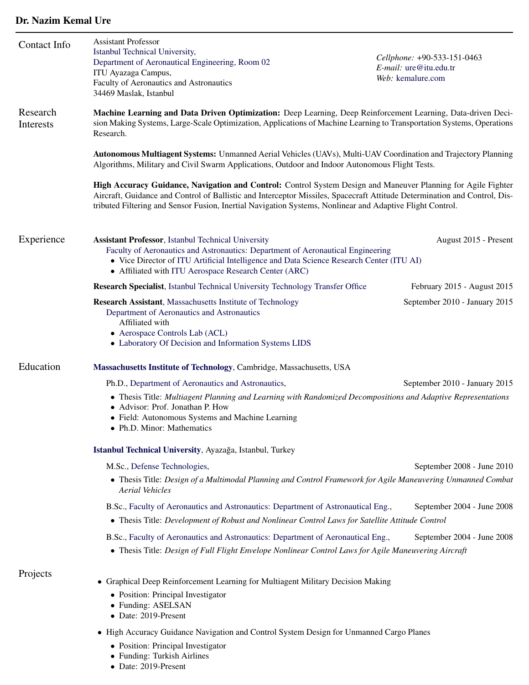## Dr. Nazim Kemal Ure

| Contact Info          | <b>Assistant Professor</b><br>Istanbul Technical University,<br>Department of Aeronautical Engineering, Room 02<br>ITU Ayazaga Campus,<br>Faculty of Aeronautics and Astronautics<br>34469 Maslak, Istanbul                                                                                                                                                                                                                                                                                                                                                                 | Cellphone: +90-533-151-0463<br>E-mail: ure@itu.edu.tr<br>Web: kemalure.com |  |
|-----------------------|-----------------------------------------------------------------------------------------------------------------------------------------------------------------------------------------------------------------------------------------------------------------------------------------------------------------------------------------------------------------------------------------------------------------------------------------------------------------------------------------------------------------------------------------------------------------------------|----------------------------------------------------------------------------|--|
| Research<br>Interests | Machine Learning and Data Driven Optimization: Deep Learning, Deep Reinforcement Learning, Data-driven Deci-<br>sion Making Systems, Large-Scale Optimization, Applications of Machine Learning to Transportation Systems, Operations<br>Research.                                                                                                                                                                                                                                                                                                                          |                                                                            |  |
|                       | Autonomous Multiagent Systems: Unmanned Aerial Vehicles (UAVs), Multi-UAV Coordination and Trajectory Planning<br>Algorithms, Military and Civil Swarm Applications, Outdoor and Indoor Autonomous Flight Tests.<br>High Accuracy Guidance, Navigation and Control: Control System Design and Maneuver Planning for Agile Fighter<br>Aircraft, Guidance and Control of Ballistic and Interceptor Missiles, Spacecraft Attitude Determination and Control, Dis-<br>tributed Filtering and Sensor Fusion, Inertial Navigation Systems, Nonlinear and Adaptive Flight Control. |                                                                            |  |
|                       |                                                                                                                                                                                                                                                                                                                                                                                                                                                                                                                                                                             |                                                                            |  |
| Experience            | <b>Assistant Professor</b> , Istanbul Technical University<br>Faculty of Aeronautics and Astronautics: Department of Aeronautical Engineering<br>• Vice Director of ITU Artificial Intelligence and Data Science Research Center (ITU AI)<br>• Affiliated with ITU Aerospace Research Center (ARC)                                                                                                                                                                                                                                                                          | August 2015 - Present                                                      |  |
|                       | <b>Research Specialist</b> , Istanbul Technical University Technology Transfer Office                                                                                                                                                                                                                                                                                                                                                                                                                                                                                       | February 2015 - August 2015                                                |  |
|                       | Research Assistant, Massachusetts Institute of Technology<br>Department of Aeronautics and Astronautics<br>Affiliated with<br>• Aerospace Controls Lab (ACL)<br>• Laboratory Of Decision and Information Systems LIDS                                                                                                                                                                                                                                                                                                                                                       | September 2010 - January 2015                                              |  |
| Education             | Massachusetts Institute of Technology, Cambridge, Massachusetts, USA                                                                                                                                                                                                                                                                                                                                                                                                                                                                                                        |                                                                            |  |
|                       | Ph.D., Department of Aeronautics and Astronautics,                                                                                                                                                                                                                                                                                                                                                                                                                                                                                                                          | September 2010 - January 2015                                              |  |
|                       | • Thesis Title: Multiagent Planning and Learning with Randomized Decompositions and Adaptive Representations<br>• Advisor: Prof. Jonathan P. How<br>• Field: Autonomous Systems and Machine Learning<br>• Ph.D. Minor: Mathematics                                                                                                                                                                                                                                                                                                                                          |                                                                            |  |
|                       | Istanbul Technical University, Ayazağa, Istanbul, Turkey                                                                                                                                                                                                                                                                                                                                                                                                                                                                                                                    |                                                                            |  |
|                       | M.Sc., Defense Technologies,<br>September 2008 - June 2010<br>• Thesis Title: Design of a Multimodal Planning and Control Framework for Agile Maneuvering Unmanned Combat<br><b>Aerial Vehicles</b>                                                                                                                                                                                                                                                                                                                                                                         |                                                                            |  |
|                       | B.Sc., Faculty of Aeronautics and Astronautics: Department of Astronautical Eng.,<br>• Thesis Title: Development of Robust and Nonlinear Control Laws for Satellite Attitude Control                                                                                                                                                                                                                                                                                                                                                                                        | September 2004 - June 2008                                                 |  |
|                       | B.Sc., Faculty of Aeronautics and Astronautics: Department of Aeronautical Eng.,<br>September 2004 - June 2008<br>• Thesis Title: Design of Full Flight Envelope Nonlinear Control Laws for Agile Maneuvering Aircraft                                                                                                                                                                                                                                                                                                                                                      |                                                                            |  |
| Projects              | Graphical Deep Reinforcement Learning for Multiagent Military Decision Making                                                                                                                                                                                                                                                                                                                                                                                                                                                                                               |                                                                            |  |
|                       | • Position: Principal Investigator<br>• Funding: ASELSAN<br>• Date: 2019-Present                                                                                                                                                                                                                                                                                                                                                                                                                                                                                            |                                                                            |  |
|                       | • High Accuracy Guidance Navigation and Control System Design for Unmanned Cargo Planes                                                                                                                                                                                                                                                                                                                                                                                                                                                                                     |                                                                            |  |
|                       | • Position: Principal Investigator<br>• Funding: Turkish Airlines                                                                                                                                                                                                                                                                                                                                                                                                                                                                                                           |                                                                            |  |

• Date: 2019-Present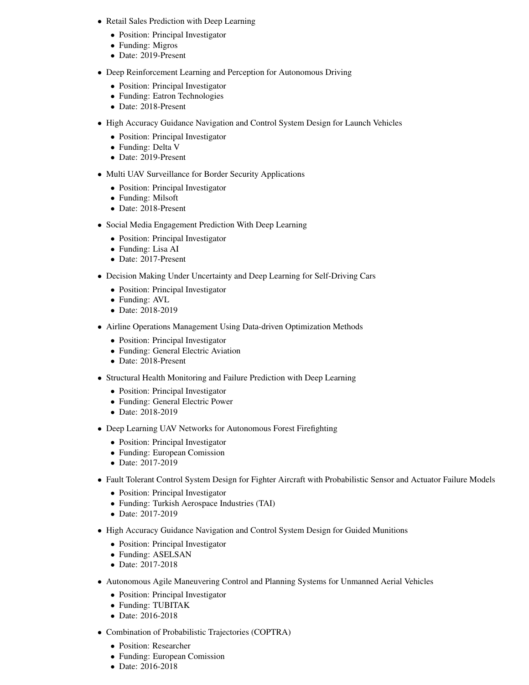- Retail Sales Prediction with Deep Learning
	- Position: Principal Investigator
	- Funding: Migros
	- Date: 2019-Present
- Deep Reinforcement Learning and Perception for Autonomous Driving
	- Position: Principal Investigator
	- Funding: Eatron Technologies
	- Date: 2018-Present
- High Accuracy Guidance Navigation and Control System Design for Launch Vehicles
	- Position: Principal Investigator
	- Funding: Delta V
	- Date: 2019-Present
- Multi UAV Surveillance for Border Security Applications
	- Position: Principal Investigator
	- Funding: Milsoft
	- Date: 2018-Present
- Social Media Engagement Prediction With Deep Learning
	- Position: Principal Investigator
	- Funding: Lisa AI
	- Date: 2017-Present
- Decision Making Under Uncertainty and Deep Learning for Self-Driving Cars
	- Position: Principal Investigator
	- Funding: AVL
	- Date: 2018-2019
- Airline Operations Management Using Data-driven Optimization Methods
	- Position: Principal Investigator
	- Funding: General Electric Aviation
	- Date: 2018-Present
- Structural Health Monitoring and Failure Prediction with Deep Learning
	- Position: Principal Investigator
	- Funding: General Electric Power
	- Date: 2018-2019
- Deep Learning UAV Networks for Autonomous Forest Firefighting
	- Position: Principal Investigator
	- Funding: European Comission
	- Date: 2017-2019
- Fault Tolerant Control System Design for Fighter Aircraft with Probabilistic Sensor and Actuator Failure Models
	- Position: Principal Investigator
	- Funding: Turkish Aerospace Industries (TAI)
	- Date: 2017-2019
- High Accuracy Guidance Navigation and Control System Design for Guided Munitions
	- Position: Principal Investigator
	- Funding: ASELSAN
	- Date: 2017-2018
- Autonomous Agile Maneuvering Control and Planning Systems for Unmanned Aerial Vehicles
	- Position: Principal Investigator
	- Funding: TUBITAK
	- Date: 2016-2018
- Combination of Probabilistic Trajectories (COPTRA)
	- Position: Researcher
	- Funding: European Comission
	- Date: 2016-2018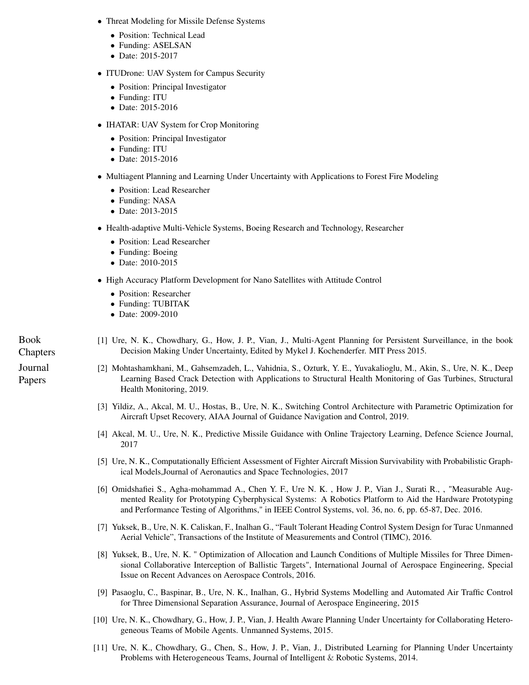- Threat Modeling for Missile Defense Systems
	- Position: Technical Lead
	- Funding: ASELSAN
	- Date: 2015-2017
- ITUDrone: UAV System for Campus Security
	- Position: Principal Investigator
	- Funding: ITU
	- Date: 2015-2016
- **IHATAR: UAV System for Crop Monitoring** 
	- Position: Principal Investigator
	- Funding: ITU
	- Date: 2015-2016
- Multiagent Planning and Learning Under Uncertainty with Applications to Forest Fire Modeling
	- Position: Lead Researcher
	- Funding: NASA
	- Date: 2013-2015
- Health-adaptive Multi-Vehicle Systems, Boeing Research and Technology, Researcher
	- Position: Lead Researcher
	- Funding: Boeing
	- Date: 2010-2015
- High Accuracy Platform Development for Nano Satellites with Attitude Control
	- Position: Researcher
	- Funding: TUBITAK
	- Date: 2009-2010

Book Chapters Journal Papers

- [1] Ure, N. K., Chowdhary, G., How, J. P., Vian, J., Multi-Agent Planning for Persistent Surveillance, in the book Decision Making Under Uncertainty, Edited by Mykel J. Kochenderfer. MIT Press 2015.
- [2] Mohtashamkhani, M., Gahsemzadeh, L., Vahidnia, S., Ozturk, Y. E., Yuvakalioglu, M., Akin, S., Ure, N. K., Deep Learning Based Crack Detection with Applications to Structural Health Monitoring of Gas Turbines, Structural Health Monitoring, 2019.
- [3] Yildiz, A., Akcal, M. U., Hostas, B., Ure, N. K., Switching Control Architecture with Parametric Optimization for Aircraft Upset Recovery, AIAA Journal of Guidance Navigation and Control, 2019.
- [4] Akcal, M. U., Ure, N. K., Predictive Missile Guidance with Online Trajectory Learning, Defence Science Journal, 2017
- [5] Ure, N. K., Computationally Efficient Assessment of Fighter Aircraft Mission Survivability with Probabilistic Graphical Models,Journal of Aeronautics and Space Technologies, 2017
- [6] Omidshafiei S., Agha-mohammad A., Chen Y. F., Ure N. K. , How J. P., Vian J., Surati R., , "Measurable Augmented Reality for Prototyping Cyberphysical Systems: A Robotics Platform to Aid the Hardware Prototyping and Performance Testing of Algorithms," in IEEE Control Systems, vol. 36, no. 6, pp. 65-87, Dec. 2016.
- [7] Yuksek, B., Ure, N. K. Caliskan, F., Inalhan G., "Fault Tolerant Heading Control System Design for Turac Unmanned Aerial Vehicle", Transactions of the Institute of Measurements and Control (TIMC), 2016.
- [8] Yuksek, B., Ure, N. K. " Optimization of Allocation and Launch Conditions of Multiple Missiles for Three Dimensional Collaborative Interception of Ballistic Targets", International Journal of Aerospace Engineering, Special Issue on Recent Advances on Aerospace Controls, 2016.
- [9] Pasaoglu, C., Baspinar, B., Ure, N. K., Inalhan, G., Hybrid Systems Modelling and Automated Air Traffic Control for Three Dimensional Separation Assurance, Journal of Aerospace Engineering, 2015
- [10] Ure, N. K., Chowdhary, G., How, J. P., Vian, J. Health Aware Planning Under Uncertainty for Collaborating Heterogeneous Teams of Mobile Agents. Unmanned Systems, 2015.
- [11] Ure, N. K., Chowdhary, G., Chen, S., How, J. P., Vian, J., Distributed Learning for Planning Under Uncertainty Problems with Heterogeneous Teams, Journal of Intelligent & Robotic Systems, 2014.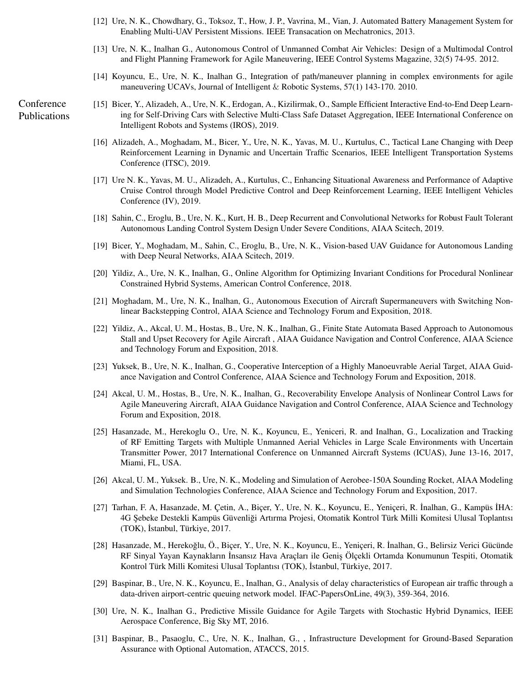- [12] Ure, N. K., Chowdhary, G., Toksoz, T., How, J. P., Vavrina, M., Vian, J. Automated Battery Management System for Enabling Multi-UAV Persistent Missions. IEEE Transacation on Mechatronics, 2013.
- [13] Ure, N. K., Inalhan G., Autonomous Control of Unmanned Combat Air Vehicles: Design of a Multimodal Control and Flight Planning Framework for Agile Maneuvering, IEEE Control Systems Magazine, 32(5) 74-95. 2012.
- [14] Koyuncu, E., Ure, N. K., Inalhan G., Integration of path/maneuver planning in complex environments for agile maneuvering UCAVs, Journal of Intelligent & Robotic Systems, 57(1) 143-170. 2010.

Conference Publications

- [15] Bicer, Y., Alizadeh, A., Ure, N. K., Erdogan, A., Kizilirmak, O., Sample Efficient Interactive End-to-End Deep Learning for Self-Driving Cars with Selective Multi-Class Safe Dataset Aggregation, IEEE International Conference on Intelligent Robots and Systems (IROS), 2019.
	- [16] Alizadeh, A., Moghadam, M., Bicer, Y., Ure, N. K., Yavas, M. U., Kurtulus, C., Tactical Lane Changing with Deep Reinforcement Learning in Dynamic and Uncertain Traffic Scenarios, IEEE Intelligent Transportation Systems Conference (ITSC), 2019.
	- [17] Ure N. K., Yavas, M. U., Alizadeh, A., Kurtulus, C., Enhancing Situational Awareness and Performance of Adaptive Cruise Control through Model Predictive Control and Deep Reinforcement Learning, IEEE Intelligent Vehicles Conference (IV), 2019.
	- [18] Sahin, C., Eroglu, B., Ure, N. K., Kurt, H. B., Deep Recurrent and Convolutional Networks for Robust Fault Tolerant Autonomous Landing Control System Design Under Severe Conditions, AIAA Scitech, 2019.
	- [19] Bicer, Y., Moghadam, M., Sahin, C., Eroglu, B., Ure, N. K., Vision-based UAV Guidance for Autonomous Landing with Deep Neural Networks, AIAA Scitech, 2019.
	- [20] Yildiz, A., Ure, N. K., Inalhan, G., Online Algorithm for Optimizing Invariant Conditions for Procedural Nonlinear Constrained Hybrid Systems, American Control Conference, 2018.
	- [21] Moghadam, M., Ure, N. K., Inalhan, G., Autonomous Execution of Aircraft Supermaneuvers with Switching Nonlinear Backstepping Control, AIAA Science and Technology Forum and Exposition, 2018.
	- [22] Yildiz, A., Akcal, U. M., Hostas, B., Ure, N. K., Inalhan, G., Finite State Automata Based Approach to Autonomous Stall and Upset Recovery for Agile Aircraft , AIAA Guidance Navigation and Control Conference, AIAA Science and Technology Forum and Exposition, 2018.
	- [23] Yuksek, B., Ure, N. K., Inalhan, G., Cooperative Interception of a Highly Manoeuvrable Aerial Target, AIAA Guidance Navigation and Control Conference, AIAA Science and Technology Forum and Exposition, 2018.
	- [24] Akcal, U. M., Hostas, B., Ure, N. K., Inalhan, G., Recoverability Envelope Analysis of Nonlinear Control Laws for Agile Maneuvering Aircraft, AIAA Guidance Navigation and Control Conference, AIAA Science and Technology Forum and Exposition, 2018.
	- [25] Hasanzade, M., Herekoglu O., Ure, N. K., Koyuncu, E., Yeniceri, R. and Inalhan, G., Localization and Tracking of RF Emitting Targets with Multiple Unmanned Aerial Vehicles in Large Scale Environments with Uncertain Transmitter Power, 2017 International Conference on Unmanned Aircraft Systems (ICUAS), June 13-16, 2017, Miami, FL, USA.
	- [26] Akcal, U. M., Yuksek. B., Ure, N. K., Modeling and Simulation of Aerobee-150A Sounding Rocket, AIAA Modeling and Simulation Technologies Conference, AIAA Science and Technology Forum and Exposition, 2017.
	- [27] Tarhan, F. A, Hasanzade, M. Çetin, A., Biçer, Y., Ure, N. K., Koyuncu, E., Yeniçeri, R. ˙Inalhan, G., Kampüs ˙IHA: 4G ¸Sebeke Destekli Kampüs Güvenligi Artırma Projesi, Otomatik Kontrol Türk Milli Komitesi Ulusal Toplantısı ˘ (TOK), İstanbul, Türkiye, 2017.
	- [28] Hasanzade, M., Herekoğlu, Ö., Biçer, Y., Ure, N. K., Koyuncu, E., Yeniçeri, R. İnalhan, G., Belirsiz Verici Gücünde RF Sinyal Yayan Kaynakların ˙Insansız Hava Araçları ile Geni¸s Ölçekli Ortamda Konumunun Tespiti, Otomatik Kontrol Türk Milli Komitesi Ulusal Toplantısı (TOK), İstanbul, Türkiye, 2017.
	- [29] Baspinar, B., Ure, N. K., Koyuncu, E., Inalhan, G., Analysis of delay characteristics of European air traffic through a data-driven airport-centric queuing network model. IFAC-PapersOnLine, 49(3), 359-364, 2016.
	- [30] Ure, N. K., Inalhan G., Predictive Missile Guidance for Agile Targets with Stochastic Hybrid Dynamics, IEEE Aerospace Conference, Big Sky MT, 2016.
	- [31] Baspinar, B., Pasaoglu, C., Ure, N. K., Inalhan, G., , Infrastructure Development for Ground-Based Separation Assurance with Optional Automation, ATACCS, 2015.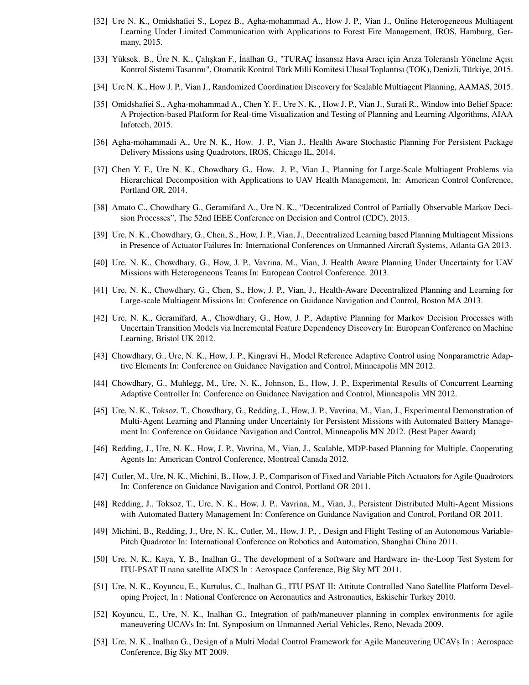- [32] Ure N. K., Omidshafiei S., Lopez B., Agha-mohammad A., How J. P., Vian J., Online Heterogeneous Multiagent Learning Under Limited Communication with Applications to Forest Fire Management, IROS, Hamburg, Germany, 2015.
- [33] Yüksek. B., Üre N. K., Çalı¸skan F., ˙Inalhan G., "TURAÇ ˙Insansız Hava Aracı için Arıza Toleranslı Yönelme Açısı Kontrol Sistemi Tasarımı", Otomatik Kontrol Türk Milli Komitesi Ulusal Toplantısı (TOK), Denizli, Türkiye, 2015.
- [34] Ure N. K., How J. P., Vian J., Randomized Coordination Discovery for Scalable Multiagent Planning, AAMAS, 2015.
- [35] Omidshafiei S., Agha-mohammad A., Chen Y. F., Ure N. K. , How J. P., Vian J., Surati R., Window into Belief Space: A Projection-based Platform for Real-time Visualization and Testing of Planning and Learning Algorithms, AIAA Infotech, 2015.
- [36] Agha-mohammadi A., Ure N. K., How. J. P., Vian J., Health Aware Stochastic Planning For Persistent Package Delivery Missions using Quadrotors, IROS, Chicago IL, 2014.
- [37] Chen Y. F., Ure N. K., Chowdhary G., How. J. P., Vian J., Planning for Large-Scale Multiagent Problems via Hierarchical Decomposition with Applications to UAV Health Management, In: American Control Conference, Portland OR, 2014.
- [38] Amato C., Chowdhary G., Geramifard A., Ure N. K., "Decentralized Control of Partially Observable Markov Decision Processes", The 52nd IEEE Conference on Decision and Control (CDC), 2013.
- [39] Ure, N. K., Chowdhary, G., Chen, S., How, J. P., Vian, J., Decentralized Learning based Planning Multiagent Missions in Presence of Actuator Failures In: International Conferences on Unmanned Aircraft Systems, Atlanta GA 2013.
- [40] Ure, N. K., Chowdhary, G., How, J. P., Vavrina, M., Vian, J. Health Aware Planning Under Uncertainty for UAV Missions with Heterogeneous Teams In: European Control Conference. 2013.
- [41] Ure, N. K., Chowdhary, G., Chen, S., How, J. P., Vian, J., Health-Aware Decentralized Planning and Learning for Large-scale Multiagent Missions In: Conference on Guidance Navigation and Control, Boston MA 2013.
- [42] Ure, N. K., Geramifard, A., Chowdhary, G., How, J. P., Adaptive Planning for Markov Decision Processes with Uncertain Transition Models via Incremental Feature Dependency Discovery In: European Conference on Machine Learning, Bristol UK 2012.
- [43] Chowdhary, G., Ure, N. K., How, J. P., Kingravi H., Model Reference Adaptive Control using Nonparametric Adaptive Elements In: Conference on Guidance Navigation and Control, Minneapolis MN 2012.
- [44] Chowdhary, G., Muhlegg, M., Ure, N. K., Johnson, E., How, J. P., Experimental Results of Concurrent Learning Adaptive Controller In: Conference on Guidance Navigation and Control, Minneapolis MN 2012.
- [45] Ure, N. K., Toksoz, T., Chowdhary, G., Redding, J., How, J. P., Vavrina, M., Vian, J., Experimental Demonstration of Multi-Agent Learning and Planning under Uncertainty for Persistent Missions with Automated Battery Management In: Conference on Guidance Navigation and Control, Minneapolis MN 2012. (Best Paper Award)
- [46] Redding, J., Ure, N. K., How, J. P., Vavrina, M., Vian, J., Scalable, MDP-based Planning for Multiple, Cooperating Agents In: American Control Conference, Montreal Canada 2012.
- [47] Cutler, M., Ure, N. K., Michini, B., How, J. P., Comparison of Fixed and Variable Pitch Actuators for Agile Quadrotors In: Conference on Guidance Navigation and Control, Portland OR 2011.
- [48] Redding, J., Toksoz, T., Ure, N. K., How, J. P., Vavrina, M., Vian, J., Persistent Distributed Multi-Agent Missions with Automated Battery Management In: Conference on Guidance Navigation and Control, Portland OR 2011.
- [49] Michini, B., Redding, J., Ure, N. K., Cutler, M., How, J. P., , Design and Flight Testing of an Autonomous Variable-Pitch Quadrotor In: International Conference on Robotics and Automation, Shanghai China 2011.
- [50] Ure, N. K., Kaya, Y. B., Inalhan G., The development of a Software and Hardware in- the-Loop Test System for ITU-PSAT II nano satellite ADCS In : Aerospace Conference, Big Sky MT 2011.
- [51] Ure, N. K., Koyuncu, E., Kurtulus, C., Inalhan G., ITU PSAT II: Attitute Controlled Nano Satellite Platform Developing Project, In : National Conference on Aeronautics and Astronautics, Eskisehir Turkey 2010.
- [52] Koyuncu, E., Ure, N. K., Inalhan G., Integration of path/maneuver planning in complex environments for agile maneuvering UCAVs In: Int. Symposium on Unmanned Aerial Vehicles, Reno, Nevada 2009.
- [53] Ure, N. K., Inalhan G., Design of a Multi Modal Control Framework for Agile Maneuvering UCAVs In : Aerospace Conference, Big Sky MT 2009.